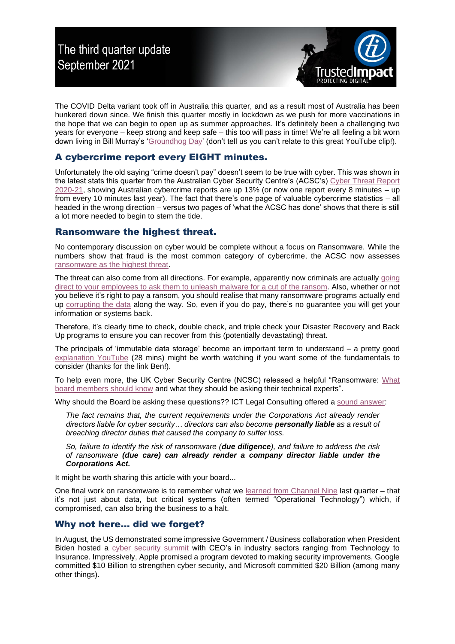

The COVID Delta variant took off in Australia this quarter, and as a result most of Australia has been hunkered down since. We finish this quarter mostly in lockdown as we push for more vaccinations in the hope that we can begin to open up as summer approaches. It's definitely been a challenging two years for everyone – keep strong and keep safe – this too will pass in time! We're all feeling a bit worn down living in Bill Murray's ['Groundhog Day'](https://www.youtube.com/watch?v=XD2ZC11pPPQ) (don't tell us you can't relate to this great YouTube clip!).

## A cybercrime report every EIGHT minutes.

Unfortunately the old saying "crime doesn't pay" doesn't seem to be true with cyber. This was shown in the latest stats this quarter from the Australian Cyber Security Centre's (ACSC's) [Cyber Threat Report](https://www.cyber.gov.au/acsc/view-all-content/reports-and-statistics/acsc-annual-cyber-threat-report-2020-21)  [2020-21,](https://www.cyber.gov.au/acsc/view-all-content/reports-and-statistics/acsc-annual-cyber-threat-report-2020-21) showing Australian cybercrime reports are up 13% (or now one report every 8 minutes – up from every 10 minutes last year). The fact that there's one page of valuable cybercrime statistics – all headed in the wrong direction – versus two pages of 'what the ACSC has done' shows that there is still a lot more needed to begin to stem the tide.

## Ransomware the highest threat.

No contemporary discussion on cyber would be complete without a focus on Ransomware. While the numbers show that fraud is the most common category of cybercrime, the ACSC now assesses [ransomware as the highest threat.](https://www.abc.net.au/news/2021-01-11/australians-turning-point-on-cyber-security-cyberattacks-crime/13018884)

The threat can also come from all directions. For example, apparently now criminals are actually going [direct to your employees to ask them to unleash malware for a cut of the ransom.](https://krebsonsecurity.com/2021/08/wanted-disgruntled-employees-to-deploy-ransomware/) Also, whether or not you believe it's right to pay a ransom, you should realise that many ransomware programs actually end up [corrupting the data](https://www.continuitycentral.com/index.php/news/technology/6618-five-tough-questions-you-need-to-answer-about-ransomware) along the way. So, even if you do pay, there's no guarantee you will get your information or systems back.

Therefore, it's clearly time to check, double check, and triple check your Disaster Recovery and Back Up programs to ensure you can recover from this (potentially devastating) threat.

The principals of 'immutable data storage' become an important term to understand – a pretty good [explanation YouTube](https://www.youtube.com/watch?v=GWSpRvV2F58) (28 mins) might be worth watching if you want some of the fundamentals to consider (thanks for the link Ben!).

To help even more, the UK Cyber Security Centre (NCSC) released a helpful "Ransomware: [What](https://www.ncsc.gov.uk/blog-post/what-board-members-should-know-about-ransomware)  [board members should know](https://www.ncsc.gov.uk/blog-post/what-board-members-should-know-about-ransomware) and what they should be asking their technical experts".

Why should the Board be asking these questions?? ICT Legal Consulting offered a [sound answer:](https://www.lexology.com/library/detail.aspx?g=5b7e274b-65f5-4cd1-bc15-5e7f5cada06d)

*The fact remains that, the current requirements under the Corporations Act already render directors liable for cyber security… directors can also become personally liable as a result of breaching director duties that caused the company to suffer loss.*

*So, failure to identify the risk of ransomware (due diligence), and failure to address the risk of ransomware (due care) can already render a company director liable under the Corporations Act.*

It might be worth sharing this article with your board...

One final work on ransomware is to remember what we [learned from Channel Nine](https://www.afr.com/companies/media-and-marketing/suspected-cyberattack-hits-nine-20210328-p57epg) last quarter – that it's not just about data, but critical systems (often termed "Operational Technology") which, if compromised, can also bring the business to a halt.

## Why not here… did we forget?

In August, the US demonstrated some impressive Government / Business collaboration when President Biden hosted a cyber [security summit](https://www.cnbc.com/2021/08/25/google-microsoft-plan-to-spend-billions-on-cybersecurity-after-meeting-with-biden.html) with CEO's in industry sectors ranging from Technology to Insurance. Impressively, Apple promised a program devoted to making security improvements, Google committed \$10 Billion to strengthen cyber security, and Microsoft committed \$20 Billion (among many other things).